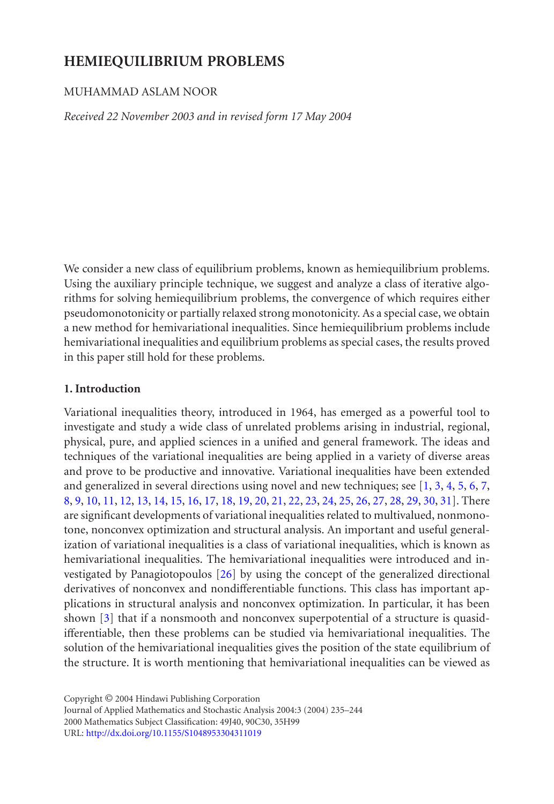# **HEMIEQUILIBRIUM PROBLEMS**

# MUHAMMAD ASLAM NOOR

*Received 22 November 2003 and in revised form 17 May 2004*

We consider a new class of equilibrium problems, known as hemiequilibrium problems. Using the auxiliary principle technique, we suggest and analyze a class of iterative algorithms for solving hemiequilibrium problems, the convergence of which requires either pseudomonotonicity or partially relaxed strong monotonicity. As a special case, we obtain a new method for hemivariational inequalities. Since hemiequilibrium problems include hemivariational inequalities and equilibrium problems as special cases, the results proved in this paper still hold for these problems.

# **1. Introduction**

Variational inequalities theory, introduced in 1964, has emerged as a powerful tool to investigate and study a wide class of unrelated problems arising in industrial, regional, physical, pure, and applied sciences in a unified and general framework. The ideas and techniques of the variational inequalities are being applied in a variety of diverse areas and prove to be productive and innovative. Variational inequalities have been extended and generalized in several directions using novel and new techniques; see [\[1,](#page-8-0) [3,](#page-8-1) [4,](#page-8-2) [5,](#page-8-3) [6,](#page-8-4) [7,](#page-8-5) [8,](#page-8-6) [9,](#page-9-0) [10,](#page-9-1) [11,](#page-9-2) [12,](#page-9-3) [13,](#page-9-4) [14,](#page-9-5) [15,](#page-9-6) [16,](#page-9-7) [17,](#page-9-8) [18,](#page-9-9) [19,](#page-9-10) [20,](#page-9-11) [21,](#page-9-12) [22,](#page-9-13) [23,](#page-9-14) [24,](#page-9-15) [25,](#page-9-16) [26,](#page-9-17) [27,](#page-9-18) [28,](#page-9-19) [29,](#page-9-20) [30,](#page-9-21) [31\]](#page-9-22). There are significant developments of variational inequalities related to multivalued, nonmonotone, nonconvex optimization and structural analysis. An important and useful generalization of variational inequalities is a class of variational inequalities, which is known as hemivariational inequalities. The hemivariational inequalities were introduced and investigated by Panagiotopoulos [\[26\]](#page-9-17) by using the concept of the generalized directional derivatives of nonconvex and nondifferentiable functions. This class has important applications in structural analysis and nonconvex optimization. In particular, it has been shown [\[3\]](#page-8-1) that if a nonsmooth and nonconvex superpotential of a structure is quasidifferentiable, then these problems can be studied via hemivariational inequalities. The solution of the hemivariational inequalities gives the position of the state equilibrium of the structure. It is worth mentioning that hemivariational inequalities can be viewed as

Copyright © 2004 Hindawi Publishing Corporation

Journal of Applied Mathematics and Stochastic Analysis 2004:3 (2004) 235–244 2000 Mathematics Subject Classification: 49J40, 90C30, 35H99

URL: <http://dx.doi.org/10.1155/S1048953304311019>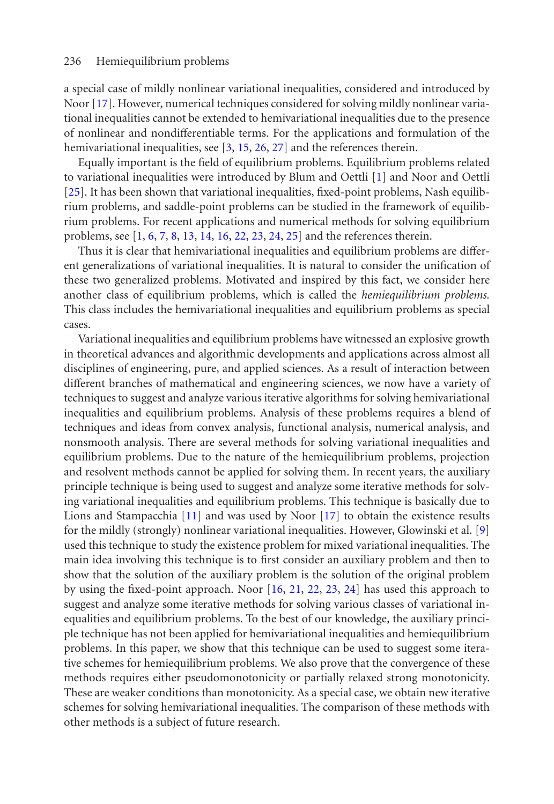a special case of mildly nonlinear variational inequalities, considered and introduced by Noor [\[17\]](#page-9-8). However, numerical techniques considered for solving mildly nonlinear variational inequalities cannot be extended to hemivariational inequalities due to the presence of nonlinear and nondifferentiable terms. For the applications and formulation of the hemivariational inequalities, see [\[3,](#page-8-1) [15,](#page-9-6) [26,](#page-9-17) [27\]](#page-9-18) and the references therein.

Equally important is the field of equilibrium problems. Equilibrium problems related to variational inequalities were introduced by Blum and Oettli [\[1\]](#page-8-0) and Noor and Oettli [\[25\]](#page-9-16). It has been shown that variational inequalities, fixed-point problems, Nash equilibrium problems, and saddle-point problems can be studied in the framework of equilibrium problems. For recent applications and numerical methods for solving equilibrium problems, see [\[1,](#page-8-0) [6,](#page-8-4) [7,](#page-8-5) [8,](#page-8-6) [13,](#page-9-4) [14,](#page-9-5) [16,](#page-9-7) [22,](#page-9-13) [23,](#page-9-14) [24,](#page-9-15) [25\]](#page-9-16) and the references therein.

Thus it is clear that hemivariational inequalities and equilibrium problems are different generalizations of variational inequalities. It is natural to consider the unification of these two generalized problems. Motivated and inspired by this fact, we consider here another class of equilibrium problems, which is called the *hemiequilibrium problems.* This class includes the hemivariational inequalities and equilibrium problems as special cases.

Variational inequalities and equilibrium problems have witnessed an explosive growth in theoretical advances and algorithmic developments and applications across almost all disciplines of engineering, pure, and applied sciences. As a result of interaction between different branches of mathematical and engineering sciences, we now have a variety of techniques to suggest and analyze various iterative algorithms for solving hemivariational inequalities and equilibrium problems. Analysis of these problems requires a blend of techniques and ideas from convex analysis, functional analysis, numerical analysis, and nonsmooth analysis. There are several methods for solving variational inequalities and equilibrium problems. Due to the nature of the hemiequilibrium problems, projection and resolvent methods cannot be applied for solving them. In recent years, the auxiliary principle technique is being used to suggest and analyze some iterative methods for solving variational inequalities and equilibrium problems. This technique is basically due to Lions and Stampacchia [\[11\]](#page-9-2) and was used by Noor [\[17\]](#page-9-8) to obtain the existence results for the mildly (strongly) nonlinear variational inequalities. However, Glowinski et al. [\[9\]](#page-9-0) used this technique to study the existence problem for mixed variational inequalities. The main idea involving this technique is to first consider an auxiliary problem and then to show that the solution of the auxiliary problem is the solution of the original problem by using the fixed-point approach. Noor [\[16,](#page-9-7) [21,](#page-9-12) [22,](#page-9-13) [23,](#page-9-14) [24\]](#page-9-15) has used this approach to suggest and analyze some iterative methods for solving various classes of variational inequalities and equilibrium problems. To the best of our knowledge, the auxiliary principle technique has not been applied for hemivariational inequalities and hemiequilibrium problems. In this paper, we show that this technique can be used to suggest some iterative schemes for hemiequilibrium problems. We also prove that the convergence of these methods requires either pseudomonotonicity or partially relaxed strong monotonicity. These are weaker conditions than monotonicity. As a special case, we obtain new iterative schemes for solving hemivariational inequalities. The comparison of these methods with other methods is a subject of future research.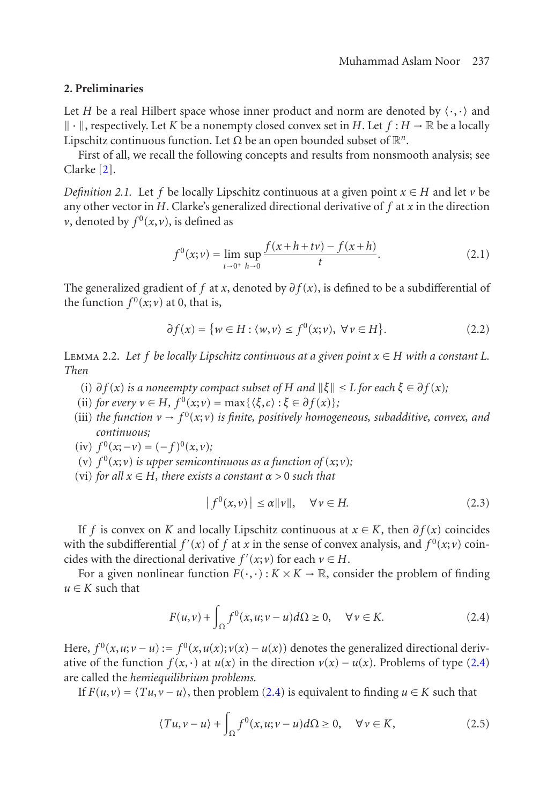### **2. Preliminaries**

Let *H* be a real Hilbert space whose inner product and norm are denoted by  $\langle \cdot, \cdot \rangle$  and  $\|\cdot\|$ , respectively. Let *K* be a nonempty closed convex set in *H*. Let  $f : H \to \mathbb{R}$  be a locally Lipschitz continuous function. Let  $\Omega$  be an open bounded subset of  $\mathbb{R}^n$ .

First of all, we recall the following concepts and results from nonsmooth analysis; see Clarke [\[2\]](#page-8-7).

*Definition 2.1.* Let *f* be locally Lipschitz continuous at a given point  $x \in H$  and let *v* be any other vector in *H*. Clarke's generalized directional derivative of *f* at *x* in the direction  $\nu$ , denoted by  $f^0(x,\nu)$ , is defined as

$$
f^{0}(x; \nu) = \lim_{t \to 0^{+}} \sup_{h \to 0} \frac{f(x + h + tv) - f(x + h)}{t}.
$$
 (2.1)

The generalized gradient of *f* at *x*, denoted by *∂ f* (*x*), is defined to be a subdifferential of the function  $f^0(x; v)$  at 0, that is,

$$
\partial f(x) = \{ w \in H : \langle w, v \rangle \le f^0(x; v), \ \forall v \in H \}. \tag{2.2}
$$

<span id="page-2-1"></span>LEMMA 2.2. Let f be locally Lipschitz continuous at a given point  $x \in H$  with a constant L. *Then*

- $(i)$   $\partial f(x)$  *is a noneempty compact subset of H and*  $\|\xi\|$  ≤ *L for each*  $\xi$  ∈  $\partial f(x)$ *;*
- (ii) *for every*  $v \in H$ *,*  $f^0(x; v) = \max\{\langle \xi, c \rangle : \xi \in \partial f(x)\};$
- (iii) *the function*  $v \to f^0(x; v)$  *is finite, positively homogeneous, subadditive, convex, and continuous;*
- $(iv) f^{0}(x; -v) = (-f)^{0}(x, v);$
- (v)  $f^0(x; v)$  *is upper semicontinuous as a function of*  $(x; v)$ ;
- (vi) *for all*  $x \in H$ *, there exists a constant*  $\alpha > 0$  *such that*

<span id="page-2-0"></span>
$$
|f^{0}(x,v)| \le \alpha ||v||, \quad \forall v \in H.
$$
 (2.3)

If *f* is convex on *K* and locally Lipschitz continuous at  $x \in K$ , then  $\partial f(x)$  coincides with the subdifferential  $f'(x)$  of  $f$  at  $x$  in the sense of convex analysis, and  $f^{0}(x; v)$  coincides with the directional derivative  $f'(x; v)$  for each  $v \in H$ .

For a given nonlinear function  $F(\cdot, \cdot): K \times K \to \mathbb{R}$ , consider the problem of finding  $u \in K$  such that

$$
F(u,v) + \int_{\Omega} f^{0}(x,u;v-u)d\Omega \ge 0, \quad \forall v \in K.
$$
 (2.4)

Here,  $f^0(x, u; v - u) := f^0(x, u(x); v(x) - u(x))$  denotes the generalized directional derivative of the function  $f(x, \cdot)$  at  $u(x)$  in the direction  $v(x) - u(x)$ . Problems of type [\(2.4\)](#page-2-0) are called the *hemiequilibrium problems.*

If  $F(u, v) = \langle Tu, v - u \rangle$ , then problem [\(2.4\)](#page-2-0) is equivalent to finding  $u \in K$  such that

<span id="page-2-2"></span>
$$
\langle Tu, v - u \rangle + \int_{\Omega} f^{0}(x, u; v - u) d\Omega \ge 0, \quad \forall v \in K,
$$
\n(2.5)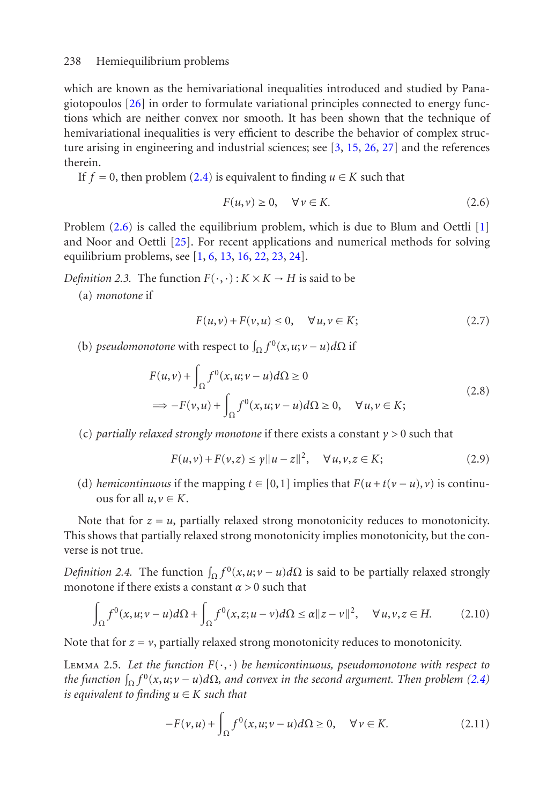which are known as the hemivariational inequalities introduced and studied by Panagiotopoulos [\[26\]](#page-9-17) in order to formulate variational principles connected to energy functions which are neither convex nor smooth. It has been shown that the technique of hemivariational inequalities is very efficient to describe the behavior of complex structure arising in engineering and industrial sciences; see [\[3,](#page-8-1) [15,](#page-9-6) [26,](#page-9-17) [27\]](#page-9-18) and the references therein.

If  $f = 0$ , then problem [\(2.4\)](#page-2-0) is equivalent to finding  $u \in K$  such that

<span id="page-3-0"></span>
$$
F(u, v) \ge 0, \quad \forall v \in K. \tag{2.6}
$$

Problem [\(2.6\)](#page-3-0) is called the equilibrium problem, which is due to Blum and Oettli [\[1\]](#page-8-0) and Noor and Oettli [\[25\]](#page-9-16). For recent applications and numerical methods for solving equilibrium problems, see [\[1,](#page-8-0) [6,](#page-8-4) [13,](#page-9-4) [16,](#page-9-7) [22,](#page-9-13) [23,](#page-9-14) [24\]](#page-9-15).

*Definition 2.3.* The function  $F(\cdot, \cdot): K \times K \to H$  is said to be

(a) *monotone* if

$$
F(u, v) + F(v, u) \le 0, \quad \forall u, v \in K;
$$
\n
$$
(2.7)
$$

(b) *pseudomonotone* with respect to  $\int_{\Omega} f^{0}(x, u; v - u) d\Omega$  if

$$
F(u,v) + \int_{\Omega} f^{0}(x, u; v - u) d\Omega \ge 0
$$
  
\n
$$
\implies -F(v, u) + \int_{\Omega} f^{0}(x, u; v - u) d\Omega \ge 0, \quad \forall u, v \in K;
$$
\n(2.8)

(c) *partially relaxed strongly monotone* if there exists a constant *γ >* 0 such that

$$
F(u, v) + F(v, z) \le y \|u - z\|^2, \quad \forall u, v, z \in K; \tag{2.9}
$$

(d) *hemicontinuous* if the mapping  $t \in [0,1]$  implies that  $F(u+t(v-u),v)$  is continuous for all  $u, v \in K$ .

Note that for  $z = u$ , partially relaxed strong monotonicity reduces to monotonicity. This shows that partially relaxed strong monotonicity implies monotonicity, but the converse is not true.

*Definition 2.4.* The function  $\int_{\Omega} f^{0}(x, u; v - u) d\Omega$  is said to be partially relaxed strongly monotone if there exists a constant *α >* 0 such that

$$
\int_{\Omega} f^{0}(x, u; \nu - u) d\Omega + \int_{\Omega} f^{0}(x, z; u - \nu) d\Omega \le \alpha ||z - \nu||^{2}, \quad \forall u, v, z \in H. \tag{2.10}
$$

<span id="page-3-2"></span>Note that for  $z = v$ , partially relaxed strong monotonicity reduces to monotonicity.

LEMMA 2.5. Let the function  $F(\cdot, \cdot)$  be hemicontinuous, pseudomonotone with respect to  $\int_{\Omega} f^{0}(x, u; v - u) d\Omega$ , and convex in the second argument. Then problem [\(2.4\)](#page-2-0) *is equivalent to finding u* ∈ *K such that*

<span id="page-3-1"></span>
$$
-F(\nu, u) + \int_{\Omega} f^{0}(x, u; \nu - u) d\Omega \ge 0, \quad \forall \nu \in K.
$$
 (2.11)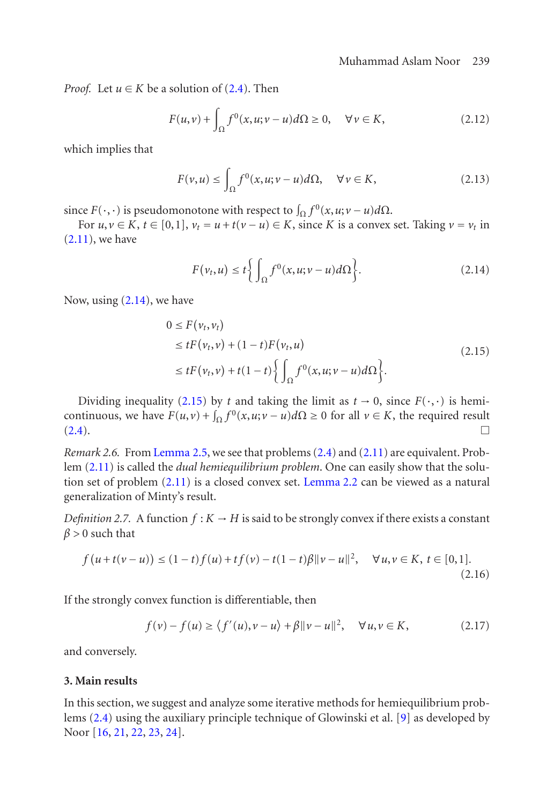*Proof.* Let  $u \in K$  be a solution of [\(2.4\)](#page-2-0). Then

$$
F(u,v) + \int_{\Omega} f^{0}(x,u;v-u)d\Omega \ge 0, \quad \forall v \in K,
$$
\n(2.12)

which implies that

$$
F(v, u) \le \int_{\Omega} f^{0}(x, u; v - u) d\Omega, \quad \forall v \in K,
$$
\n(2.13)

since  $F(\cdot, \cdot)$  is pseudomonotone with respect to  $\int_{\Omega} f^{0}(x, u; v - u) d\Omega$ .

For  $u, v \in K$ ,  $t \in [0,1]$ ,  $v_t = u + t(v - u) \in K$ , since *K* is a convex set. Taking  $v = v_t$  in  $(2.11)$ , we have

<span id="page-4-1"></span><span id="page-4-0"></span>
$$
F(v_t, u) \le t \left\{ \int_{\Omega} f^0(x, u; v - u) d\Omega \right\}.
$$
 (2.14)

Now, using  $(2.14)$ , we have

$$
0 \le F(\nu_t, \nu_t)
$$
  
\n
$$
\le tF(\nu_t, \nu) + (1 - t)F(\nu_t, u)
$$
  
\n
$$
\le tF(\nu_t, \nu) + t(1 - t)\left\{\int_{\Omega} f^0(x, u; \nu - u)d\Omega\right\}.
$$
\n(2.15)

Dividing inequality [\(2.15\)](#page-4-1) by *t* and taking the limit as  $t \to 0$ , since  $F(\cdot, \cdot)$  is hemicontinuous, we have  $F(u, v) + \int_{\Omega} f^{0}(x, u; v - u) d\Omega \ge 0$  for all  $v \in K$ , the required result  $(2.4).$  $(2.4).$ 

*Remark 2.6.* From [Lemma 2.5,](#page-3-2) we see that problems [\(2.4\)](#page-2-0) and [\(2.11\)](#page-3-1) are equivalent. Problem [\(2.11\)](#page-3-1) is called the *dual hemiequilibrium problem*. One can easily show that the solution set of problem [\(2.11\)](#page-3-1) is a closed convex set. [Lemma 2.2](#page-2-1) can be viewed as a natural generalization of Minty's result.

*Definition 2.7.* A function  $f : K \to H$  is said to be strongly convex if there exists a constant  $\beta$  > 0 such that

$$
f(u+t(v-u)) \le (1-t)f(u)+tf(v)-t(1-t)\beta||v-u||^2, \quad \forall u, v \in K, t \in [0,1].
$$
\n(2.16)

If the strongly convex function is differentiable, then

$$
f(v) - f(u) \ge \langle f'(u), v - u \rangle + \beta \|v - u\|^2, \quad \forall u, v \in K,
$$
 (2.17)

and conversely.

### **3. Main results**

In this section, we suggest and analyze some iterative methods for hemiequilibrium problems [\(2.4\)](#page-2-0) using the auxiliary principle technique of Glowinski et al. [\[9\]](#page-9-0) as developed by Noor [\[16,](#page-9-7) [21,](#page-9-12) [22,](#page-9-13) [23,](#page-9-14) [24\]](#page-9-15).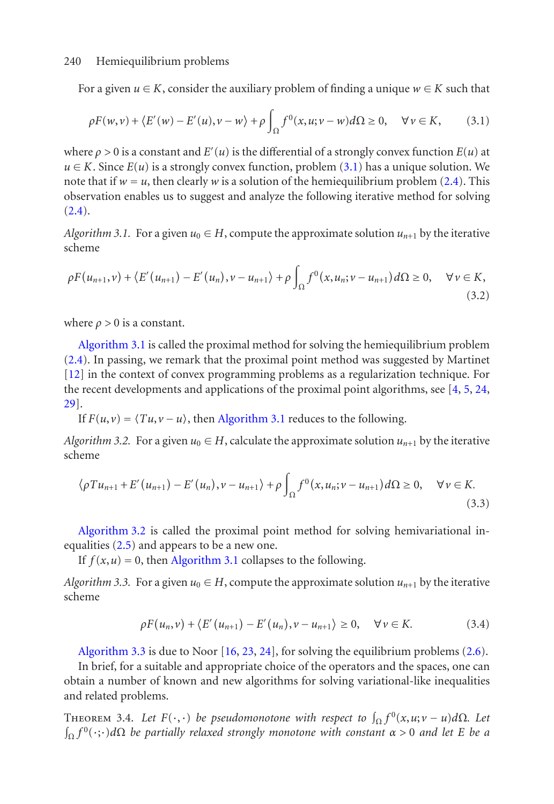For a given  $u \in K$ , consider the auxiliary problem of finding a unique  $w \in K$  such that

<span id="page-5-0"></span>
$$
\rho F(w,v) + \langle E'(w) - E'(u), v - w \rangle + \rho \int_{\Omega} f^0(x, u; v - w) d\Omega \ge 0, \quad \forall v \in K,
$$
 (3.1)

where  $\rho > 0$  is a constant and  $E'(u)$  is the differential of a strongly convex function  $E(u)$  at  $u \in K$ . Since  $E(u)$  is a strongly convex function, problem [\(3.1\)](#page-5-0) has a unique solution. We note that if  $w = u$ , then clearly w is a solution of the hemiequilibrium problem [\(2.4\)](#page-2-0). This observation enables us to suggest and analyze the following iterative method for solving  $(2.4).$  $(2.4).$ 

<span id="page-5-1"></span>*Algorithm 3.1.* For a given  $u_0 \in H$ , compute the approximate solution  $u_{n+1}$  by the iterative scheme

<span id="page-5-4"></span>
$$
\rho F(u_{n+1}, v) + \langle E'(u_{n+1}) - E'(u_n), v - u_{n+1} \rangle + \rho \int_{\Omega} f^0(x, u_n; v - u_{n+1}) d\Omega \ge 0, \quad \forall v \in K,
$$
\n(3.2)

where  $\rho > 0$  is a constant.

[Algorithm 3.1](#page-5-1) is called the proximal method for solving the hemiequilibrium problem [\(2.4\)](#page-2-0). In passing, we remark that the proximal point method was suggested by Martinet [\[12\]](#page-9-3) in the context of convex programming problems as a regularization technique. For the recent developments and applications of the proximal point algorithms, see [\[4,](#page-8-2) [5,](#page-8-3) [24,](#page-9-15) [29\]](#page-9-20).

If  $F(u, v) = \langle Tu, v - u \rangle$ , then [Algorithm 3.1](#page-5-1) reduces to the following.

<span id="page-5-2"></span>*Algorithm 3.2.* For a given  $u_0 \in H$ , calculate the approximate solution  $u_{n+1}$  by the iterative scheme

$$
\langle \rho T u_{n+1} + E'(u_{n+1}) - E'(u_n), \nu - u_{n+1} \rangle + \rho \int_{\Omega} f^0(x, u_n; \nu - u_{n+1}) d\Omega \ge 0, \quad \forall \nu \in K.
$$
\n(3.3)

[Algorithm 3.2](#page-5-2) is called the proximal point method for solving hemivariational inequalities [\(2.5\)](#page-2-2) and appears to be a new one.

If  $f(x, u) = 0$ , then [Algorithm 3.1](#page-5-1) collapses to the following.

<span id="page-5-3"></span>*Algorithm 3.3.* For a given  $u_0 \in H$ , compute the approximate solution  $u_{n+1}$  by the iterative scheme

$$
\rho F(u_n, v) + \langle E'(u_{n+1}) - E'(u_n), v - u_{n+1} \rangle \ge 0, \quad \forall v \in K.
$$
 (3.4)

[Algorithm 3.3](#page-5-3) is due to Noor [\[16,](#page-9-7) [23,](#page-9-14) [24\]](#page-9-15), for solving the equilibrium problems [\(2.6\)](#page-3-0).

In brief, for a suitable and appropriate choice of the operators and the spaces, one can obtain a number of known and new algorithms for solving variational-like inequalities and related problems.

<span id="page-5-5"></span>THEOREM 3.4. Let  $F(\cdot, \cdot)$  be pseudomonotone with respect to  $\int_{\Omega} f^{0}(x, u; v - u) d\Omega$ . Let <sup>Ω</sup> *f* 0(·;·)*d*Ω *be partially relaxed strongly monotone with constant α >* 0 *and let E be a*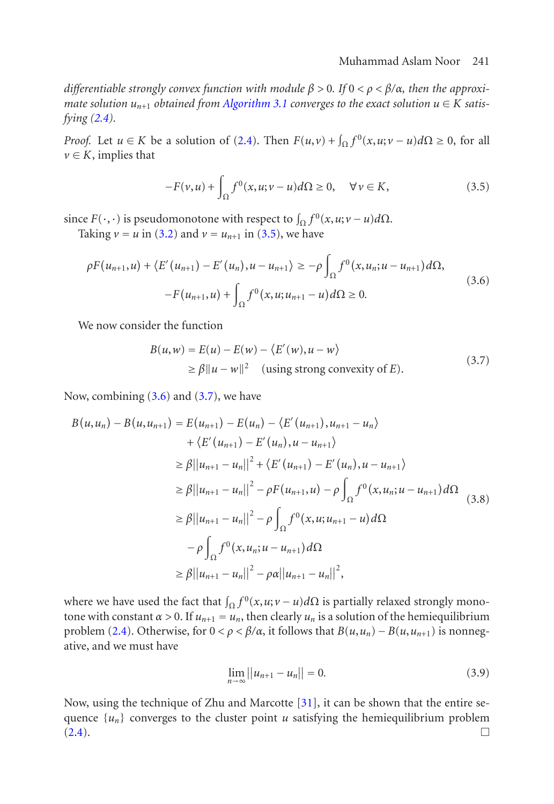differentiable strongly convex function with module  $\beta > 0$ . If  $0 < \rho < \beta/\alpha$ , then the approximate solution  $u_{n+1}$  obtained from Algorithm 3.1 converges to the exact solution  $u \in K$  satisfying  $(2.4)$ .

*Proof.* Let  $u \in K$  be a solution of (2.4). Then  $F(u, v) + \int_{\Omega} f^{0}(x, u; v - u) d\Omega \ge 0$ , for all  $v \in K$ , implies that

<span id="page-6-1"></span><span id="page-6-0"></span>
$$
-F(\nu, u) + \int_{\Omega} f^0(x, u; \nu - u) d\Omega \ge 0, \quad \forall \nu \in K,
$$
\n(3.5)

since  $F(\cdot, \cdot)$  is pseudomonotone with respect to  $\int_{\Omega} f^{0}(x, u; v - u) d\Omega$ .

Taking  $v = u$  in (3.2) and  $v = u_{n+1}$  in (3.5), we have

$$
\rho F(u_{n+1}, u) + \langle E'(u_{n+1}) - E'(u_n), u - u_{n+1} \rangle \ge -\rho \int_{\Omega} f^0(x, u_n; u - u_{n+1}) d\Omega,
$$
  

$$
-F(u_{n+1}, u) + \int_{\Omega} f^0(x, u; u_{n+1} - u) d\Omega \ge 0.
$$
 (3.6)

We now consider the function

<span id="page-6-2"></span>
$$
B(u, w) = E(u) - E(w) - \langle E'(w), u - w \rangle
$$
  
\n
$$
\ge \beta ||u - w||^2 \quad \text{(using strong convexity of } E).
$$
\n(3.7)

Now, combining  $(3.6)$  and  $(3.7)$ , we have

$$
B(u, u_n) - B(u, u_{n+1}) = E(u_{n+1}) - E(u_n) - \langle E'(u_{n+1}), u_{n+1} - u_n \rangle
$$
  
+  $\langle E'(u_{n+1}) - E'(u_n), u - u_{n+1} \rangle$   
 $\geq \beta ||u_{n+1} - u_n||^2 + \langle E'(u_{n+1}) - E'(u_n), u - u_{n+1} \rangle$   
 $\geq \beta ||u_{n+1} - u_n||^2 - \rho F(u_{n+1}, u) - \rho \int_{\Omega} f^0(x, u_n; u - u_{n+1}) d\Omega$   
 $\geq \beta ||u_{n+1} - u_n||^2 - \rho \int_{\Omega} f^0(x, u; u_{n+1} - u) d\Omega$   
 $-\rho \int_{\Omega} f^0(x, u_n; u - u_{n+1}) d\Omega$   
 $\geq \beta ||u_{n+1} - u_n||^2 - \rho \alpha ||u_{n+1} - u_n||^2,$  (3.8)

where we have used the fact that  $\int_{\Omega} f^{0}(x, u; v - u) d\Omega$  is partially relaxed strongly monotone with constant  $\alpha > 0$ . If  $u_{n+1} = u_n$ , then clearly  $u_n$  is a solution of the hemiequilibrium problem (2.4). Otherwise, for  $0 < \rho < \beta/\alpha$ , it follows that  $B(u, u_n) - B(u, u_{n+1})$  is nonnegative, and we must have

$$
\lim_{n \to \infty} ||u_{n+1} - u_n|| = 0. \tag{3.9}
$$

Now, using the technique of Zhu and Marcotte  $[31]$ , it can be shown that the entire sequence  $\{u_n\}$  converges to the cluster point u satisfying the hemiequilibrium problem  $(2.4).$  $\Box$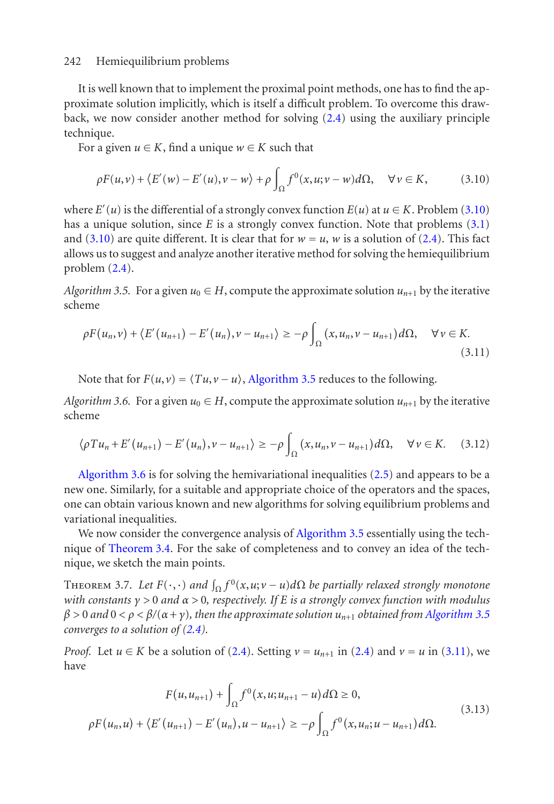It is well known that to implement the proximal point methods, one has to find the approximate solution implicitly, which is itself a difficult problem. To overcome this drawback, we now consider another method for solving [\(2.4\)](#page-2-0) using the auxiliary principle technique.

For a given  $u \in K$ , find a unique  $w \in K$  such that

<span id="page-7-0"></span>
$$
\rho F(u,v) + \langle E'(w) - E'(u), v - w \rangle + \rho \int_{\Omega} f^0(x, u; v - w) d\Omega, \quad \forall v \in K,
$$
 (3.10)

where  $E'(u)$  is the differential of a strongly convex function  $E(u)$  at  $u \in K$ . Problem [\(3.10\)](#page-7-0) has a unique solution, since *E* is a strongly convex function. Note that problems [\(3.1\)](#page-5-0) and [\(3.10\)](#page-7-0) are quite different. It is clear that for  $w = u$ , w is a solution of [\(2.4\)](#page-2-0). This fact allows us to suggest and analyze another iterative method for solving the hemiequilibrium problem [\(2.4\)](#page-2-0).

<span id="page-7-1"></span>*Algorithm 3.5.* For a given  $u_0 \in H$ , compute the approximate solution  $u_{n+1}$  by the iterative scheme

<span id="page-7-3"></span>
$$
\rho F(u_n, v) + \langle E'(u_{n+1}) - E'(u_n), v - u_{n+1} \rangle \ge -\rho \int_{\Omega} (x, u_n, v - u_{n+1}) d\Omega, \quad \forall v \in K.
$$
\n(3.11)

Note that for  $F(u, v) = \langle Tu, v - u \rangle$ , [Algorithm 3.5](#page-7-1) reduces to the following.

<span id="page-7-2"></span>*Algorithm 3.6.* For a given  $u_0 \in H$ , compute the approximate solution  $u_{n+1}$  by the iterative scheme

$$
\langle \rho T u_n + E'(u_{n+1}) - E'(u_n), v - u_{n+1} \rangle \ge -\rho \int_{\Omega} (x, u_n, v - u_{n+1}) d\Omega, \quad \forall v \in K. \quad (3.12)
$$

[Algorithm 3.6](#page-7-2) is for solving the hemivariational inequalities [\(2.5\)](#page-2-2) and appears to be a new one. Similarly, for a suitable and appropriate choice of the operators and the spaces, one can obtain various known and new algorithms for solving equilibrium problems and variational inequalities.

We now consider the convergence analysis of [Algorithm 3.5](#page-7-1) essentially using the technique of [Theorem 3.4.](#page-5-5) For the sake of completeness and to convey an idea of the technique, we sketch the main points.

THEOREM 3.7. Let  $F(\cdot, \cdot)$  and  $\int_{\Omega} f^{0}(x, u; v - u) d\Omega$  be partially relaxed strongly monotone *with constants γ >* 0 *and α >* 0*, respectively. If E is a strongly convex function with modulus β >* 0 *and* 0 *< ρ < β/*(*α*+*γ*)*, then the approximate solution un*+1 *obtained from [Algorithm 3.5](#page-7-1) converges to a solution of [\(2.4\)](#page-2-0).*

*Proof.* Let  $u \in K$  be a solution of [\(2.4\)](#page-2-0). Setting  $v = u_{n+1}$  in (2.4) and  $v = u$  in [\(3.11\)](#page-7-3), we have

<span id="page-7-4"></span>
$$
F(u, u_{n+1}) + \int_{\Omega} f^{0}(x, u; u_{n+1} - u) d\Omega \ge 0,
$$
  
\n
$$
\rho F(u_n, u) + \langle E'(u_{n+1}) - E'(u_n), u - u_{n+1} \rangle \ge -\rho \int_{\Omega} f^{0}(x, u_n; u - u_{n+1}) d\Omega.
$$
\n(3.13)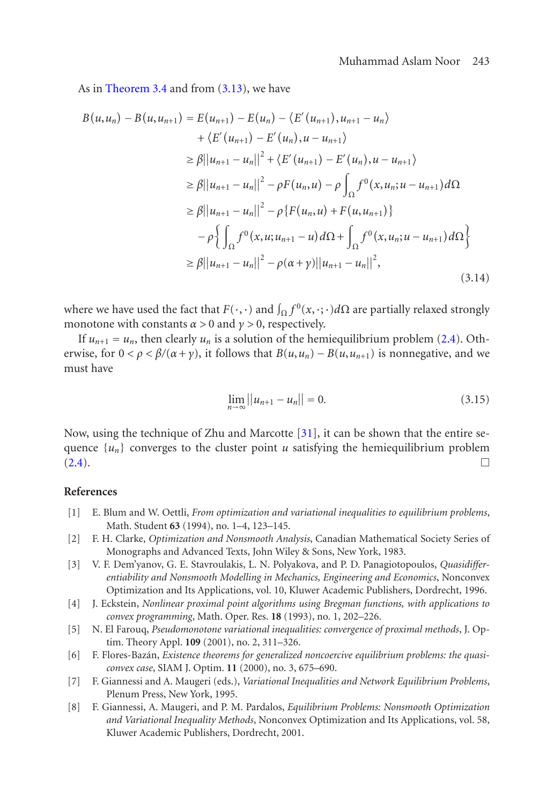As in Theorem 3.4 and from  $(3.13)$ , we have

$$
B(u, u_n) - B(u, u_{n+1}) = E(u_{n+1}) - E(u_n) - \langle E'(u_{n+1}), u_{n+1} - u_n \rangle
$$
  
+  $\langle E'(u_{n+1}) - E'(u_n), u - u_{n+1} \rangle$   
 $\geq \beta ||u_{n+1} - u_n||^2 + \langle E'(u_{n+1}) - E'(u_n), u - u_{n+1} \rangle$   
 $\geq \beta ||u_{n+1} - u_n||^2 - \rho F(u_n, u) - \rho \int_{\Omega} f^0(x, u_n; u - u_{n+1}) d\Omega$   
 $\geq \beta ||u_{n+1} - u_n||^2 - \rho \{ F(u_n, u) + F(u, u_{n+1}) \}$   
 $-\rho \{ \int_{\Omega} f^0(x, u; u_{n+1} - u) d\Omega + \int_{\Omega} f^0(x, u_n; u - u_{n+1}) d\Omega \}$   
 $\geq \beta ||u_{n+1} - u_n||^2 - \rho (\alpha + \gamma) ||u_{n+1} - u_n||^2,$  (3.14)

where we have used the fact that  $F(\cdot, \cdot)$  and  $\int_{\Omega} f^{0}(x, \cdot; \cdot) d\Omega$  are partially relaxed strongly monotone with constants  $\alpha > 0$  and  $\gamma > 0$ , respectively.

If  $u_{n+1} = u_n$ , then clearly  $u_n$  is a solution of the hemiequilibrium problem (2.4). Otherwise, for  $0 < \rho < \beta/(\alpha + \gamma)$ , it follows that  $B(u, u_n) - B(u, u_{n+1})$  is nonnegative, and we must have

$$
\lim_{n \to \infty} ||u_{n+1} - u_n|| = 0. \tag{3.15}
$$

Now, using the technique of Zhu and Marcotte [31], it can be shown that the entire sequence  $\{u_n\}$  converges to the cluster point u satisfying the hemiequilibrium problem  $(2.4).$ П

### <span id="page-8-0"></span>**References**

- <span id="page-8-7"></span> $\lceil 1 \rceil$ E. Blum and W. Oettli, From optimization and variational inequalities to equilibrium problems, Math. Student 63 (1994), no. 1-4, 123-145.
- $\lceil 2 \rceil$ F. H. Clarke, Optimization and Nonsmooth Analysis, Canadian Mathematical Society Series of Monographs and Advanced Texts, John Wiley & Sons, New York, 1983.
- <span id="page-8-1"></span>V. F. Dem'yanov, G. E. Stavroulakis, L. N. Polyakova, and P. D. Panagiotopoulos, Quasidiffer- $\lceil 3 \rceil$ entiability and Nonsmooth Modelling in Mechanics, Engineering and Economics, Nonconvex Optimization and Its Applications, vol. 10, Kluwer Academic Publishers, Dordrecht, 1996.
- <span id="page-8-3"></span><span id="page-8-2"></span>[4] J. Eckstein, Nonlinear proximal point algorithms using Bregman functions, with applications to convex programming, Math. Oper. Res. 18 (1993), no. 1, 202-226.
- $\lceil 5 \rceil$ N. El Farouq, Pseudomonotone variational inequalities: convergence of proximal methods, J. Optim. Theory Appl. 109 (2001), no. 2, 311-326.
- <span id="page-8-4"></span>F. Flores-Bazán, Existence theorems for generalized noncoercive equilibrium problems: the quasi- $\lceil 6 \rceil$ convex case, SIAM J. Optim. 11 (2000), no. 3, 675-690.
- <span id="page-8-6"></span><span id="page-8-5"></span> $[7]$ F. Giannessi and A. Maugeri (eds.), Variational Inequalities and Network Equilibrium Problems, Plenum Press, New York, 1995.
- F. Giannessi, A. Maugeri, and P. M. Pardalos, *Equilibrium Problems: Nonsmooth Optimization*  $\lceil 8 \rceil$ and Variational Inequality Methods, Nonconvex Optimization and Its Applications, vol. 58, Kluwer Academic Publishers, Dordrecht, 2001.